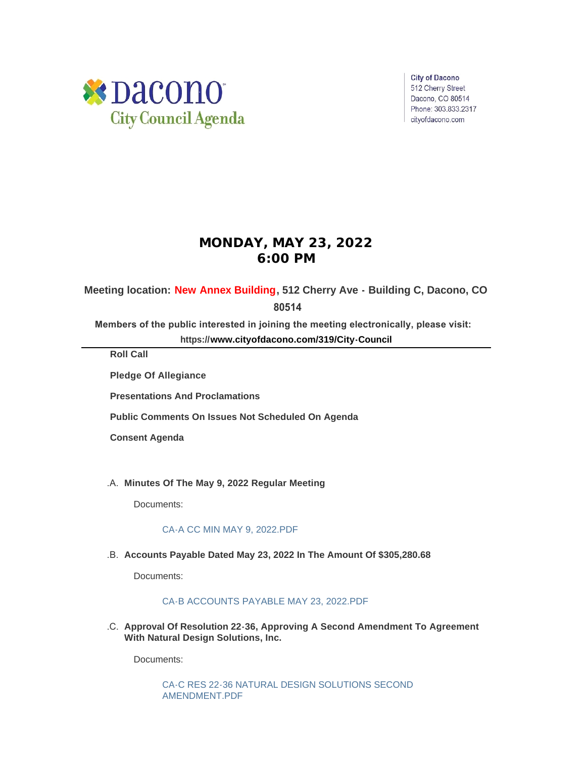

**City of Dacono** 512 Cherry Street Dacono, CO 80514 Phone: 303.833.2317 cityofdacono.com

# **MONDAY, MAY 23, 2022 6:00 PM**

# **Meeting location: New Annex Building, 512 Cherry Ave - Building C, Dacono, CO**

 **80514**

**Members of the public interested in joining the meeting electronically, please visit:** 

**https://[www.cityofdacono.com/319/City-Council](http://www.cityofdacono.com/319/City-Council)**

**Roll Call**

**Pledge Of Allegiance** 

**Presentations And Proclamations**

**Public Comments On Issues Not Scheduled On Agenda**

**Consent Agenda**

**Minutes Of The May 9, 2022 Regular Meeting** .A.

Documents:

### [CA-A CC MIN MAY 9, 2022.PDF](https://www.cityofdacono.com/AgendaCenter/ViewFile/Item/2092?fileID=2928)

.B. Accounts Payable Dated May 23, 2022 In The Amount Of \$305,280.68

Documents:

### [CA-B ACCOUNTS PAYABLE MAY 23, 2022.PDF](https://www.cityofdacono.com/AgendaCenter/ViewFile/Item/2093?fileID=2929)

**Approval Of Resolution 22-36, Approving A Second Amendment To Agreement**  .C. **With Natural Design Solutions, Inc.** 

Documents:

[CA-C RES 22-36 NATURAL DESIGN SOLUTIONS SECOND](https://www.cityofdacono.com/AgendaCenter/ViewFile/Item/2094?fileID=2930)  AMENDMENT.PDF